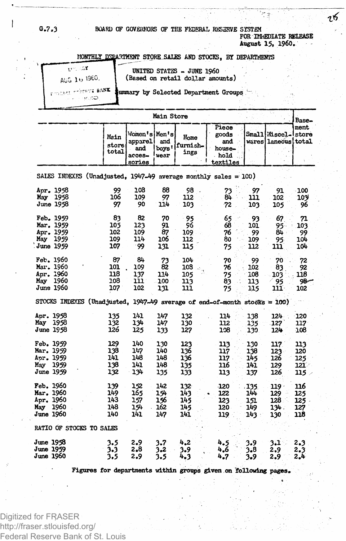## **G.7.3 BOARD OF GOVERNORS OF THE FEDERAL RESERVE SYSTEM FOR IMMEDIATE RELEASE**

**August 15, I960.**

76

#### **HONTHLY DEPARTMENT** STORE SALES AND STOCKS, BY DEPARTMENTS

v ". - ^ **AUG, 10, 1960. " »**

**UNITED STATES - JUNE I960 (Based on retail dollar amounts)**

**8AN \$ Summary by Selected Department Groups "**

|                                                                           |                                 |                                                     | Main Store                      |                                 |                                                     |                                     |                                            | Base-                             |
|---------------------------------------------------------------------------|---------------------------------|-----------------------------------------------------|---------------------------------|---------------------------------|-----------------------------------------------------|-------------------------------------|--------------------------------------------|-----------------------------------|
|                                                                           | Main<br>store<br>total          | Women's Men's<br>apparel<br>and<br>acces-<br>sories | and<br>boys '<br>wear           | Home<br>furnish-<br>ings        | Piece<br>goods<br>and<br>house-<br>hold<br>textiles |                                     | Small Miscel-Istore<br>wares laneous total | ment                              |
| SALES INDEXFS (Unadjusted, 1947-49 average monthly sales = 100)           |                                 |                                                     |                                 |                                 |                                                     |                                     |                                            |                                   |
| Apr. 1958<br>May 1958<br><b>June 1958</b>                                 | 99<br>106<br>97                 | 208<br>109<br>90                                    | 88<br>97<br>114                 | 98<br>112<br>103                | 73<br>84.<br>72                                     | 97<br>111<br>103                    | 91<br>102<br>105                           | -100<br>109<br>96                 |
| Feb. 1959<br>Mar. 1959<br>Apr. 1959<br>May<br>1959<br>June 1959           | 83<br>105<br>102<br>109<br>107  | 82<br>123<br>109<br>114<br>99∙                      | 70<br>91<br>87<br>106<br>131    | - 95<br>96<br>109<br>112<br>115 | 65<br>68<br>76<br>80<br>75                          | 93<br>101<br>99<br>109<br>112       | 67<br>95.<br>84.<br>95<br>111              | 71<br>103<br>99<br>104<br>104     |
| Feb. 1960<br>Mar. 1960<br>Apr. 1960<br>May<br>1960<br>June 1960           | 87<br>101<br>118<br>108<br>107  | 84<br>109<br>137<br>111<br>102                      | 73<br>82<br>114<br>100<br>131   | 104<br>108<br>105<br>113<br>111 | 70<br>76<br>75<br>83<br>75                          | 99<br>102<br>108<br>113<br>115      | 70<br>83<br>103<br>95<br>י נננ             | 72<br>92<br>118<br>98-<br>102     |
| STOCKS INDEXES (Unadjusted, 1947-49 average of end-of-month stocks = 100) |                                 |                                                     |                                 |                                 |                                                     |                                     |                                            |                                   |
| Apr. 1958<br>May<br>1958<br><b>June 1958</b>                              | 135<br>132<br>126               | 141<br>134<br>125                                   | 147<br>147<br>133               | 132<br>130<br>127               | 114<br>112<br>108                                   | 138<br>135<br>130                   | $124 -$<br>127<br>124                      | 120<br>117<br>108                 |
| Feb. 1959<br>Mar. 1959<br>Aor. 1959<br>1959<br>May<br>June 1959           | 129<br>138<br>141<br>138<br>132 | 140<br>147<br>148<br>141<br>134                     | 130<br>140<br>148<br>148<br>135 | 123<br>136<br>136<br>135<br>133 | 113<br>117<br>117 -<br>116<br>113                   | 130<br>138<br>145<br>141<br>137     | 117<br>123.<br>126<br>129<br>126           | 113<br>120<br>125<br>1212<br>115  |
| Feb. 1960<br>Mar. 1960<br>Apr. 1960<br>1960<br>May<br>June 1960           | 139<br>149<br>143<br>148<br>140 | 152<br>165<br>157<br>154<br>141                     | 142<br>154<br>156<br>162<br>147 | 132<br>143<br>145<br>145<br>141 | -120<br>122<br>123<br>120<br>119                    | .135.<br>144<br>151<br>149<br>143 : | $119 -$<br>129<br>128<br>134.<br>130       | 116<br>125<br>125 -<br>127<br>118 |
| RATIO OF STOCKS TO SALES                                                  |                                 |                                                     |                                 |                                 |                                                     |                                     |                                            |                                   |
| June 1958<br>June 1959<br>June 1960                                       | 3.5<br>3.3<br>3.5               | 2.9<br>2.8<br>2.9                                   | 3.7<br>3,2<br>3.5               | 4,2<br>3.9<br>4.3               | 4.5<br>4.6<br>4.7                                   | 3.9<br>3.8<br>3.9                   | 3.1<br>2.9<br>2.9                          | 2.3<br>2.3<br>2.4                 |

**Figures for departments within groups given on "following pages.**

Digitized for FRASER http://fraser.stlouisfed.org/ Federal Reserve Bank of St. Louis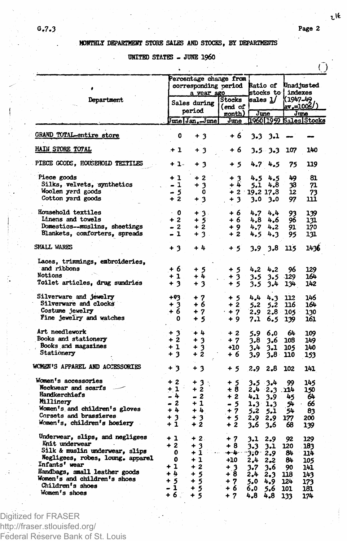$\sqrt{ }$ 

 $t$  16

## **MONTHLY DEPARTMENT STORE SALES AND STOCKS, BY DEPARTMENTS**

# **UNITED STATES - JUNE I960**

| Percentage change from<br><b>Ratio of</b><br>Unad justed<br>corresponding period<br>stocks to { indexes<br>a year ago<br>(1947-49<br>Department<br>Stocks<br>sales 1/<br>Sales during<br>(end of<br>period<br>month)  <br>June<br>June<br><u> 1960 1959 Sales Stocks</u><br>June Jan, June<br>June<br><b>GRAND TOTAL-entire store</b><br>0<br>+ 3<br>+ 6<br>$3-3$<br>- 3.1<br><b>MAIN STORE TOTAL</b><br>$+1$<br>+ 6<br>$3.5 - 3.3$<br>107<br>140<br>+ 3<br>PIECE GCODS, HOUSEHOLD TEXTILES<br>4.74.5<br>+ 1-<br>+ 3<br>75<br>119<br>+ 5<br>Piece goods<br>$+2$<br>+ 1<br>$+3$<br>4.5<br>4.5<br>49<br>81<br>Silks, velvets, synthetics<br>$+3$<br>+ 4<br>- 1<br>4.8<br>38<br>71<br>5.1<br>Woolen yard goods<br>- 5<br>0<br>$+2$ .<br>12<br>19.2 17.8<br>73<br>$+2$<br>Cotton yard goods<br>$+3$<br>$+3$<br>97<br>111<br>3.0<br>3.0<br>Household textiles<br>$\cdot$ 0<br>+ 3.<br>+ 6<br>4.7<br>4.4<br>93<br>139<br>Linens and towels<br>$+2$<br>96<br>$+5^\circ$<br>+ 6<br>4,8<br>4.6<br>131<br>Domestics--muslins, sheetings<br>$-2$<br>$+2$<br>170<br>$+9$<br>4.7<br>4.2<br>91.<br>Blankets, conforters, spreads<br>$-1$<br>$+3.$<br>$+2$<br>4.3<br>95<br>131<br>4.5<br>SMALL WARES<br>$+3$<br>+ 4<br>115<br>1436<br>$+5$<br>3.9<br>3.8<br>Laces, trimmings, embroideries,<br>and ribbons<br>+ 6<br>+ 5<br>+ 5<br>4.2<br>4.2<br>96<br>129<br>Notions<br>$+1$<br>$+ 4$<br>164<br>+ 3<br>3.5<br>129<br>3.5<br>Toilet articles, drug sundries<br>$+3$<br>3<br>÷<br>+ 5<br>3.5<br>3.4<br>134<br>142<br>Silverware and jewelry<br>$+93$<br>+ 7<br>146<br>+ 5<br>4,4<br>4.3<br>112<br>Silverware and clocks<br>+ 6<br>$+2$<br>$+3$<br>+ 6<br>164<br>5.2<br>116.<br>5.2<br>Costume jewelry<br>$+7$<br>$+7$<br>$2.8 -$<br>130<br>2.9<br>105 -<br>Fine jewelry and watches<br>0<br>5<br>$+9$<br>۰<br>7.1<br>6.5<br>161<br>139<br>Art needlework<br>$+3$<br>$+4$<br>$+2$<br>6.0<br>64<br>109<br>5.9<br>Books and stationery<br>$+2$<br>$+3$<br>$+7$<br>3.8<br>149<br>3.6<br>108<br>Books and magazines<br>$+1$<br>$+3$<br>+10<br>3.1<br>140<br>3.4<br>105<br>Stationery<br>+ 2<br>$+3$<br>+ 6<br>3.9<br>$3.8 -$<br>153<br>110 |
|-----------------------------------------------------------------------------------------------------------------------------------------------------------------------------------------------------------------------------------------------------------------------------------------------------------------------------------------------------------------------------------------------------------------------------------------------------------------------------------------------------------------------------------------------------------------------------------------------------------------------------------------------------------------------------------------------------------------------------------------------------------------------------------------------------------------------------------------------------------------------------------------------------------------------------------------------------------------------------------------------------------------------------------------------------------------------------------------------------------------------------------------------------------------------------------------------------------------------------------------------------------------------------------------------------------------------------------------------------------------------------------------------------------------------------------------------------------------------------------------------------------------------------------------------------------------------------------------------------------------------------------------------------------------------------------------------------------------------------------------------------------------------------------------------------------------------------------------------------------------------------------------------------------------------------------------------------------------------------------------------------------------------------------------------------------------------------------------------------------------------|
|                                                                                                                                                                                                                                                                                                                                                                                                                                                                                                                                                                                                                                                                                                                                                                                                                                                                                                                                                                                                                                                                                                                                                                                                                                                                                                                                                                                                                                                                                                                                                                                                                                                                                                                                                                                                                                                                                                                                                                                                                                                                                                                       |
|                                                                                                                                                                                                                                                                                                                                                                                                                                                                                                                                                                                                                                                                                                                                                                                                                                                                                                                                                                                                                                                                                                                                                                                                                                                                                                                                                                                                                                                                                                                                                                                                                                                                                                                                                                                                                                                                                                                                                                                                                                                                                                                       |
|                                                                                                                                                                                                                                                                                                                                                                                                                                                                                                                                                                                                                                                                                                                                                                                                                                                                                                                                                                                                                                                                                                                                                                                                                                                                                                                                                                                                                                                                                                                                                                                                                                                                                                                                                                                                                                                                                                                                                                                                                                                                                                                       |
|                                                                                                                                                                                                                                                                                                                                                                                                                                                                                                                                                                                                                                                                                                                                                                                                                                                                                                                                                                                                                                                                                                                                                                                                                                                                                                                                                                                                                                                                                                                                                                                                                                                                                                                                                                                                                                                                                                                                                                                                                                                                                                                       |
|                                                                                                                                                                                                                                                                                                                                                                                                                                                                                                                                                                                                                                                                                                                                                                                                                                                                                                                                                                                                                                                                                                                                                                                                                                                                                                                                                                                                                                                                                                                                                                                                                                                                                                                                                                                                                                                                                                                                                                                                                                                                                                                       |
|                                                                                                                                                                                                                                                                                                                                                                                                                                                                                                                                                                                                                                                                                                                                                                                                                                                                                                                                                                                                                                                                                                                                                                                                                                                                                                                                                                                                                                                                                                                                                                                                                                                                                                                                                                                                                                                                                                                                                                                                                                                                                                                       |
|                                                                                                                                                                                                                                                                                                                                                                                                                                                                                                                                                                                                                                                                                                                                                                                                                                                                                                                                                                                                                                                                                                                                                                                                                                                                                                                                                                                                                                                                                                                                                                                                                                                                                                                                                                                                                                                                                                                                                                                                                                                                                                                       |
|                                                                                                                                                                                                                                                                                                                                                                                                                                                                                                                                                                                                                                                                                                                                                                                                                                                                                                                                                                                                                                                                                                                                                                                                                                                                                                                                                                                                                                                                                                                                                                                                                                                                                                                                                                                                                                                                                                                                                                                                                                                                                                                       |
|                                                                                                                                                                                                                                                                                                                                                                                                                                                                                                                                                                                                                                                                                                                                                                                                                                                                                                                                                                                                                                                                                                                                                                                                                                                                                                                                                                                                                                                                                                                                                                                                                                                                                                                                                                                                                                                                                                                                                                                                                                                                                                                       |
|                                                                                                                                                                                                                                                                                                                                                                                                                                                                                                                                                                                                                                                                                                                                                                                                                                                                                                                                                                                                                                                                                                                                                                                                                                                                                                                                                                                                                                                                                                                                                                                                                                                                                                                                                                                                                                                                                                                                                                                                                                                                                                                       |
|                                                                                                                                                                                                                                                                                                                                                                                                                                                                                                                                                                                                                                                                                                                                                                                                                                                                                                                                                                                                                                                                                                                                                                                                                                                                                                                                                                                                                                                                                                                                                                                                                                                                                                                                                                                                                                                                                                                                                                                                                                                                                                                       |
|                                                                                                                                                                                                                                                                                                                                                                                                                                                                                                                                                                                                                                                                                                                                                                                                                                                                                                                                                                                                                                                                                                                                                                                                                                                                                                                                                                                                                                                                                                                                                                                                                                                                                                                                                                                                                                                                                                                                                                                                                                                                                                                       |
|                                                                                                                                                                                                                                                                                                                                                                                                                                                                                                                                                                                                                                                                                                                                                                                                                                                                                                                                                                                                                                                                                                                                                                                                                                                                                                                                                                                                                                                                                                                                                                                                                                                                                                                                                                                                                                                                                                                                                                                                                                                                                                                       |
|                                                                                                                                                                                                                                                                                                                                                                                                                                                                                                                                                                                                                                                                                                                                                                                                                                                                                                                                                                                                                                                                                                                                                                                                                                                                                                                                                                                                                                                                                                                                                                                                                                                                                                                                                                                                                                                                                                                                                                                                                                                                                                                       |
|                                                                                                                                                                                                                                                                                                                                                                                                                                                                                                                                                                                                                                                                                                                                                                                                                                                                                                                                                                                                                                                                                                                                                                                                                                                                                                                                                                                                                                                                                                                                                                                                                                                                                                                                                                                                                                                                                                                                                                                                                                                                                                                       |
|                                                                                                                                                                                                                                                                                                                                                                                                                                                                                                                                                                                                                                                                                                                                                                                                                                                                                                                                                                                                                                                                                                                                                                                                                                                                                                                                                                                                                                                                                                                                                                                                                                                                                                                                                                                                                                                                                                                                                                                                                                                                                                                       |
|                                                                                                                                                                                                                                                                                                                                                                                                                                                                                                                                                                                                                                                                                                                                                                                                                                                                                                                                                                                                                                                                                                                                                                                                                                                                                                                                                                                                                                                                                                                                                                                                                                                                                                                                                                                                                                                                                                                                                                                                                                                                                                                       |
|                                                                                                                                                                                                                                                                                                                                                                                                                                                                                                                                                                                                                                                                                                                                                                                                                                                                                                                                                                                                                                                                                                                                                                                                                                                                                                                                                                                                                                                                                                                                                                                                                                                                                                                                                                                                                                                                                                                                                                                                                                                                                                                       |
|                                                                                                                                                                                                                                                                                                                                                                                                                                                                                                                                                                                                                                                                                                                                                                                                                                                                                                                                                                                                                                                                                                                                                                                                                                                                                                                                                                                                                                                                                                                                                                                                                                                                                                                                                                                                                                                                                                                                                                                                                                                                                                                       |
|                                                                                                                                                                                                                                                                                                                                                                                                                                                                                                                                                                                                                                                                                                                                                                                                                                                                                                                                                                                                                                                                                                                                                                                                                                                                                                                                                                                                                                                                                                                                                                                                                                                                                                                                                                                                                                                                                                                                                                                                                                                                                                                       |
|                                                                                                                                                                                                                                                                                                                                                                                                                                                                                                                                                                                                                                                                                                                                                                                                                                                                                                                                                                                                                                                                                                                                                                                                                                                                                                                                                                                                                                                                                                                                                                                                                                                                                                                                                                                                                                                                                                                                                                                                                                                                                                                       |
|                                                                                                                                                                                                                                                                                                                                                                                                                                                                                                                                                                                                                                                                                                                                                                                                                                                                                                                                                                                                                                                                                                                                                                                                                                                                                                                                                                                                                                                                                                                                                                                                                                                                                                                                                                                                                                                                                                                                                                                                                                                                                                                       |
|                                                                                                                                                                                                                                                                                                                                                                                                                                                                                                                                                                                                                                                                                                                                                                                                                                                                                                                                                                                                                                                                                                                                                                                                                                                                                                                                                                                                                                                                                                                                                                                                                                                                                                                                                                                                                                                                                                                                                                                                                                                                                                                       |
|                                                                                                                                                                                                                                                                                                                                                                                                                                                                                                                                                                                                                                                                                                                                                                                                                                                                                                                                                                                                                                                                                                                                                                                                                                                                                                                                                                                                                                                                                                                                                                                                                                                                                                                                                                                                                                                                                                                                                                                                                                                                                                                       |
|                                                                                                                                                                                                                                                                                                                                                                                                                                                                                                                                                                                                                                                                                                                                                                                                                                                                                                                                                                                                                                                                                                                                                                                                                                                                                                                                                                                                                                                                                                                                                                                                                                                                                                                                                                                                                                                                                                                                                                                                                                                                                                                       |
|                                                                                                                                                                                                                                                                                                                                                                                                                                                                                                                                                                                                                                                                                                                                                                                                                                                                                                                                                                                                                                                                                                                                                                                                                                                                                                                                                                                                                                                                                                                                                                                                                                                                                                                                                                                                                                                                                                                                                                                                                                                                                                                       |
|                                                                                                                                                                                                                                                                                                                                                                                                                                                                                                                                                                                                                                                                                                                                                                                                                                                                                                                                                                                                                                                                                                                                                                                                                                                                                                                                                                                                                                                                                                                                                                                                                                                                                                                                                                                                                                                                                                                                                                                                                                                                                                                       |
|                                                                                                                                                                                                                                                                                                                                                                                                                                                                                                                                                                                                                                                                                                                                                                                                                                                                                                                                                                                                                                                                                                                                                                                                                                                                                                                                                                                                                                                                                                                                                                                                                                                                                                                                                                                                                                                                                                                                                                                                                                                                                                                       |
|                                                                                                                                                                                                                                                                                                                                                                                                                                                                                                                                                                                                                                                                                                                                                                                                                                                                                                                                                                                                                                                                                                                                                                                                                                                                                                                                                                                                                                                                                                                                                                                                                                                                                                                                                                                                                                                                                                                                                                                                                                                                                                                       |
|                                                                                                                                                                                                                                                                                                                                                                                                                                                                                                                                                                                                                                                                                                                                                                                                                                                                                                                                                                                                                                                                                                                                                                                                                                                                                                                                                                                                                                                                                                                                                                                                                                                                                                                                                                                                                                                                                                                                                                                                                                                                                                                       |
|                                                                                                                                                                                                                                                                                                                                                                                                                                                                                                                                                                                                                                                                                                                                                                                                                                                                                                                                                                                                                                                                                                                                                                                                                                                                                                                                                                                                                                                                                                                                                                                                                                                                                                                                                                                                                                                                                                                                                                                                                                                                                                                       |
|                                                                                                                                                                                                                                                                                                                                                                                                                                                                                                                                                                                                                                                                                                                                                                                                                                                                                                                                                                                                                                                                                                                                                                                                                                                                                                                                                                                                                                                                                                                                                                                                                                                                                                                                                                                                                                                                                                                                                                                                                                                                                                                       |
|                                                                                                                                                                                                                                                                                                                                                                                                                                                                                                                                                                                                                                                                                                                                                                                                                                                                                                                                                                                                                                                                                                                                                                                                                                                                                                                                                                                                                                                                                                                                                                                                                                                                                                                                                                                                                                                                                                                                                                                                                                                                                                                       |
|                                                                                                                                                                                                                                                                                                                                                                                                                                                                                                                                                                                                                                                                                                                                                                                                                                                                                                                                                                                                                                                                                                                                                                                                                                                                                                                                                                                                                                                                                                                                                                                                                                                                                                                                                                                                                                                                                                                                                                                                                                                                                                                       |
| <b>WOMEN'S APPAREL AND ACCESSORIES</b><br>+ 3<br>+ 3<br>$+5$<br>2.9<br>2.8<br>102<br>141                                                                                                                                                                                                                                                                                                                                                                                                                                                                                                                                                                                                                                                                                                                                                                                                                                                                                                                                                                                                                                                                                                                                                                                                                                                                                                                                                                                                                                                                                                                                                                                                                                                                                                                                                                                                                                                                                                                                                                                                                              |
| Women's accessories<br>$+2$<br>$+3:$<br>+ 5<br>$-3.4$<br>99<br>145<br>3.5                                                                                                                                                                                                                                                                                                                                                                                                                                                                                                                                                                                                                                                                                                                                                                                                                                                                                                                                                                                                                                                                                                                                                                                                                                                                                                                                                                                                                                                                                                                                                                                                                                                                                                                                                                                                                                                                                                                                                                                                                                             |
| Neckwear and scarfs<br>+ 1<br>$+8$<br>$+2$<br>2.3<br>150<br>2.4<br>. 114                                                                                                                                                                                                                                                                                                                                                                                                                                                                                                                                                                                                                                                                                                                                                                                                                                                                                                                                                                                                                                                                                                                                                                                                                                                                                                                                                                                                                                                                                                                                                                                                                                                                                                                                                                                                                                                                                                                                                                                                                                              |
| Handkerchiefs<br>- 4<br>- 2<br>$+2$                                                                                                                                                                                                                                                                                                                                                                                                                                                                                                                                                                                                                                                                                                                                                                                                                                                                                                                                                                                                                                                                                                                                                                                                                                                                                                                                                                                                                                                                                                                                                                                                                                                                                                                                                                                                                                                                                                                                                                                                                                                                                   |
| 64<br>3.9<br>4,1<br>45<br>Millinery                                                                                                                                                                                                                                                                                                                                                                                                                                                                                                                                                                                                                                                                                                                                                                                                                                                                                                                                                                                                                                                                                                                                                                                                                                                                                                                                                                                                                                                                                                                                                                                                                                                                                                                                                                                                                                                                                                                                                                                                                                                                                   |
| - 2<br>$+1$<br>- 5<br>66<br>54<br>1.3<br>1.3<br>Women's and children's gloves                                                                                                                                                                                                                                                                                                                                                                                                                                                                                                                                                                                                                                                                                                                                                                                                                                                                                                                                                                                                                                                                                                                                                                                                                                                                                                                                                                                                                                                                                                                                                                                                                                                                                                                                                                                                                                                                                                                                                                                                                                         |
| $+1$<br>$+4$<br>7<br>٠<br>5.2<br>5.1<br>54<br>83<br>Corsets and brassieres                                                                                                                                                                                                                                                                                                                                                                                                                                                                                                                                                                                                                                                                                                                                                                                                                                                                                                                                                                                                                                                                                                                                                                                                                                                                                                                                                                                                                                                                                                                                                                                                                                                                                                                                                                                                                                                                                                                                                                                                                                            |
| + 3<br>+ 3<br>+ 5<br>2.9<br>2.9<br>177<br>200                                                                                                                                                                                                                                                                                                                                                                                                                                                                                                                                                                                                                                                                                                                                                                                                                                                                                                                                                                                                                                                                                                                                                                                                                                                                                                                                                                                                                                                                                                                                                                                                                                                                                                                                                                                                                                                                                                                                                                                                                                                                         |
| Women's, children's hosiery<br>$+1$<br>$+2$<br>$+2$<br>3.6<br>3.6<br>68<br>139                                                                                                                                                                                                                                                                                                                                                                                                                                                                                                                                                                                                                                                                                                                                                                                                                                                                                                                                                                                                                                                                                                                                                                                                                                                                                                                                                                                                                                                                                                                                                                                                                                                                                                                                                                                                                                                                                                                                                                                                                                        |
| Underwear, slips, and negligees<br>$+1$<br>$+2.$<br>$+7$<br>3.1<br>2.9<br>92<br>129                                                                                                                                                                                                                                                                                                                                                                                                                                                                                                                                                                                                                                                                                                                                                                                                                                                                                                                                                                                                                                                                                                                                                                                                                                                                                                                                                                                                                                                                                                                                                                                                                                                                                                                                                                                                                                                                                                                                                                                                                                   |
| Knit underwear<br>+ 2<br>+ 3<br>+ 8<br>3.3<br>3.1<br>120<br>183                                                                                                                                                                                                                                                                                                                                                                                                                                                                                                                                                                                                                                                                                                                                                                                                                                                                                                                                                                                                                                                                                                                                                                                                                                                                                                                                                                                                                                                                                                                                                                                                                                                                                                                                                                                                                                                                                                                                                                                                                                                       |
| Silk & muslin underwear, slips<br>0<br>$+1$<br>منزل مهمت<br>84                                                                                                                                                                                                                                                                                                                                                                                                                                                                                                                                                                                                                                                                                                                                                                                                                                                                                                                                                                                                                                                                                                                                                                                                                                                                                                                                                                                                                                                                                                                                                                                                                                                                                                                                                                                                                                                                                                                                                                                                                                                        |
| 114<br>3.0.<br>2.9<br>Negligees, robes, loung. apparel                                                                                                                                                                                                                                                                                                                                                                                                                                                                                                                                                                                                                                                                                                                                                                                                                                                                                                                                                                                                                                                                                                                                                                                                                                                                                                                                                                                                                                                                                                                                                                                                                                                                                                                                                                                                                                                                                                                                                                                                                                                                |
| ٥<br>$+1$<br>+10<br>2,4<br>84<br>2.2<br>105<br>Infants' wear                                                                                                                                                                                                                                                                                                                                                                                                                                                                                                                                                                                                                                                                                                                                                                                                                                                                                                                                                                                                                                                                                                                                                                                                                                                                                                                                                                                                                                                                                                                                                                                                                                                                                                                                                                                                                                                                                                                                                                                                                                                          |
| $+1$<br>$+2$<br>$+3$<br>3.7<br>90<br>141<br>3.6                                                                                                                                                                                                                                                                                                                                                                                                                                                                                                                                                                                                                                                                                                                                                                                                                                                                                                                                                                                                                                                                                                                                                                                                                                                                                                                                                                                                                                                                                                                                                                                                                                                                                                                                                                                                                                                                                                                                                                                                                                                                       |
| Handbags, small leather goods<br>$+4$<br>$+5$<br>+ 8<br>2.4<br>2.3<br>118<br>143                                                                                                                                                                                                                                                                                                                                                                                                                                                                                                                                                                                                                                                                                                                                                                                                                                                                                                                                                                                                                                                                                                                                                                                                                                                                                                                                                                                                                                                                                                                                                                                                                                                                                                                                                                                                                                                                                                                                                                                                                                      |
| Women's and children's shoes<br>$+5$<br>$+5$<br>$+7$<br>5.0<br>124<br>4.9<br>173                                                                                                                                                                                                                                                                                                                                                                                                                                                                                                                                                                                                                                                                                                                                                                                                                                                                                                                                                                                                                                                                                                                                                                                                                                                                                                                                                                                                                                                                                                                                                                                                                                                                                                                                                                                                                                                                                                                                                                                                                                      |
| Children's shoes<br>- 1<br>$+5$<br>+ 6<br>6.0<br>5.6<br>101<br>181                                                                                                                                                                                                                                                                                                                                                                                                                                                                                                                                                                                                                                                                                                                                                                                                                                                                                                                                                                                                                                                                                                                                                                                                                                                                                                                                                                                                                                                                                                                                                                                                                                                                                                                                                                                                                                                                                                                                                                                                                                                    |
| Women's shoes<br>$+6.7$<br>$+5$<br>$+7$<br>4,8<br>174<br>4.8<br>133                                                                                                                                                                                                                                                                                                                                                                                                                                                                                                                                                                                                                                                                                                                                                                                                                                                                                                                                                                                                                                                                                                                                                                                                                                                                                                                                                                                                                                                                                                                                                                                                                                                                                                                                                                                                                                                                                                                                                                                                                                                   |

Digitized for FRASER http://fraser.stlouisfed.org/ Federal Reserve Bank of St. Louis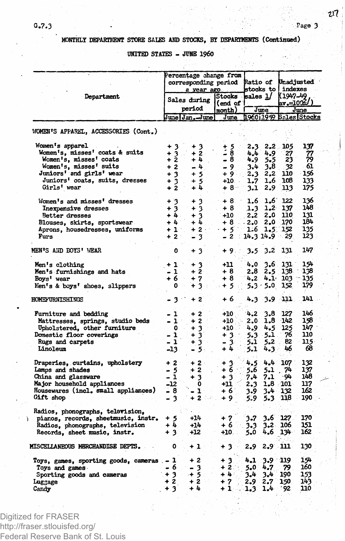**MONTHLY DEPARTMENT STORE SALES AMD STOCKS, BY DEPARTMENTS (Continued)**

**UNITED STATES -JUHB I960**

|                                                                  |                                   | Percentage change from<br>corresponding period<br>a year ago |                     |                  | <b>Ratio of</b><br>stocks to I |                    | Unadjusted<br>indexes  |  |
|------------------------------------------------------------------|-----------------------------------|--------------------------------------------------------------|---------------------|------------------|--------------------------------|--------------------|------------------------|--|
| Department                                                       | Sales during                      |                                                              | <b>Stocks</b>       | sales <u>1</u> / |                                | (1947-49           |                        |  |
|                                                                  |                                   | period                                                       | (end of 1<br>month) | June             |                                | av.=1002/)<br>June |                        |  |
|                                                                  |                                   | June   Jan . - June                                          | June                |                  |                                |                    | 196011959 Bales Stocks |  |
| WOMEN'S APPAREL, ACCESSORIES (Cont.)                             |                                   |                                                              |                     |                  |                                |                    |                        |  |
| Women's apparel                                                  | + 3                               | $+3$                                                         | $+5$                |                  | 2.3 2.2 105                    |                    | 137                    |  |
| Women's, misses' coats & suits                                   | $\frac{1}{2}$                     | $+2$                                                         | - 8                 | 4.4              | 4.9                            | 27                 | 77<br>79               |  |
| Women's, misses' coats                                           |                                   | + 4                                                          | -8.                 | 4.9              | 5.5                            | 23                 |                        |  |
| Women's, misses' suits                                           | $+2$                              | - 4                                                          | - 9                 | 3.4              | 3.8                            | 32                 | 61                     |  |
| Juniors' and girls' wear                                         | $+3$                              | $+5$                                                         | + 9√                | 2.3              | 2,2                            | 110                | 156                    |  |
| Juniors' coats, suits, dresses                                   | $+3$                              | $+5$                                                         | $+10.$              | 1.7              | 1.6                            | 108                | 133                    |  |
| Girls' wear                                                      | $+2$                              | $+1$                                                         | $+8$                | 3.1              | 2.9                            | 113                | 175                    |  |
| Women's and misses' dresses                                      | ు<br>$\ddot{}$                    | 3<br>۰                                                       | $+8$                | 1.6              | 1,6                            | 122                | 136                    |  |
| Inexpensive dresses                                              | $+3$                              | $+3$                                                         | $+8$                | 1.3              | 1,2                            | 137                | 148                    |  |
| Better dresses                                                   | $+4.$                             | $+3$                                                         | $+10$               | 2.2              | 2.0                            | 110                | 131                    |  |
| Blouses, skirts, sportswear                                      | $+4$                              | $+4.$                                                        | + 8                 | $-2.0$           | 2.0                            | 170                | 184                    |  |
| Aprons, housedresses, uniforms                                   | $+1$                              | $+2$ -                                                       | $+5$                | 1.6              |                                | 1.5 152            | 135                    |  |
| Furs                                                             | $+2$                              | - 3                                                          | $-2$ 14.3 14.9      |                  |                                | 29.                | 123                    |  |
| MEN'S AND BOYS' WEAR                                             | 0                                 | $+3$                                                         | + 9∴∴               |                  | $3.5 \t3.2$                    | 131                | 147                    |  |
| Men's clothing                                                   | $+1$                              | + 3                                                          | $+11$               | 4.0              | 3.6                            | 131                | 154                    |  |
| Men's furnishings and hats                                       | $-1$                              | $+2$                                                         | $+8$                | 2.8              | 2.5                            | 138.               | 138                    |  |
| Boys' wear                                                       | $+6$                              | $+7$                                                         | $+8$                | 4.2              | 4.1 <sup>°</sup>               | $103 -$            | 135                    |  |
| Men's & boys' shoes, slippers                                    | ٥                                 | +3 -                                                         | $+5$                |                  | $5.3 \cdot 5.0$                | 152                | 179                    |  |
| HOMEFURNISHINGS                                                  | $\sim$<br>$\overline{\mathbf{3}}$ | $+2$                                                         | + 6.                | 4.3              |                                | بتنة 3.9           | 141                    |  |
|                                                                  |                                   |                                                              |                     |                  |                                | 127                | 146                    |  |
| Furniture and bedding                                            | - 1                               | $+2$                                                         | +10                 | 4.2<br>2.0       | 3.8<br>1,8                     | $-142$             | 158                    |  |
| Mattresses, springs, studio beds<br>Upholstered, other furniture | - 1<br>0                          | $+2$                                                         | $+10$<br>$+10$      |                  | 4.5                            | -125               | 147                    |  |
| Domestic floor coverings                                         | ı<br>$\overline{\phantom{0}}$     | $+3$<br>$+3$                                                 | $+3.$               | 4.9.<br>5.3      | 5.1                            | 76.                | 110                    |  |
| Rugs and carpets                                                 | - 1                               | $+3$                                                         | $-3$                | 5.1              | 5.2                            | -82                | 115.                   |  |
| Linoleum                                                         | -13.                              | $-5.$                                                        | $+4$                | 5.1              | 4.3                            | 46                 | 68                     |  |
|                                                                  |                                   |                                                              |                     |                  |                                |                    |                        |  |
| Draperies, curtains, upholstery                                  | $+2$                              | $+2$                                                         | + 3.                | 4.5              |                                | $4.4$ 107          | 132                    |  |
| Lamps and shades                                                 | - 5                               | $+2$                                                         | ∔ ნ∹                | 5.6              | 5.1                            | .74                | 137                    |  |
| China and glassware                                              | - 1                               | $\overline{\mathbf{3}}$<br>÷                                 | $+3$                | 7.4              | 7.1                            | -94                | 148                    |  |
| Major household appliances                                       | -12                               | 0                                                            | +11 =               | 2.3              |                                | $1.8 \t101$        | 117                    |  |
| Housewares (incl. small appliances)                              | - 8                               | $\mathbf{1}^-$                                               | + 6                 | 3.9              | 3.4                            | 132                | 162                    |  |
| Gift shop                                                        | - 3                               | - 2 ∴≥                                                       | $+9$                | 5.9              | 5.3                            | 118                | 190                    |  |
| Radios, phonographs, television.                                 |                                   |                                                              |                     |                  |                                |                    |                        |  |
| pianos, records, sheetmusic, instr.                              | $+5$                              | $+14$                                                        | $+7$                | $3 - 7$          | 3.6                            | 127                | 170                    |  |
| Radios, phonographs, television                                  | +4                                | $+14$                                                        | + 6                 | 3.3              | $3 - 2$                        | 106                | 151                    |  |
| Records, sheet music, instr.                                     | $+3$                              | $+12$                                                        | $+10$ .             | 5.0              | 4.6                            | 134                | 162                    |  |
| <b>MISCELLANEOUS MERCHANDISE DEPTS.</b>                          | 0                                 | $+1$                                                         | $+3$                | 2.9              | $2.9$ 111                      |                    | 130                    |  |
| Toys, games, sporting goods, cameras .- 1                        |                                   | + 2                                                          | -3<br>۰             | 4.1              | $3.9 - 119$                    |                    | 154                    |  |
| Toys and games                                                   | - 6                               | - 3                                                          | $+2.$               | 5.0              | 4.7                            | 79.                | 160                    |  |
| Sporting goods and cameras                                       | $+3$                              | $+5$                                                         | $+4.1$              | 3.4              | 3.4                            | 190                | 153                    |  |
| Luggage                                                          | + 2                               | $+2$                                                         | $+7$                | 2.9              | 2.7                            | 150.               | 143                    |  |
| Candy                                                            | ۰<br>3                            | $+4$                                                         | $+1$                | 1.3              | 1.4                            | 92                 | 110                    |  |
|                                                                  |                                   |                                                              |                     |                  |                                |                    |                        |  |

Digitized for FRASER http://fraser.stlouisfed.org/ Federal Reserve Bank of St. Louis